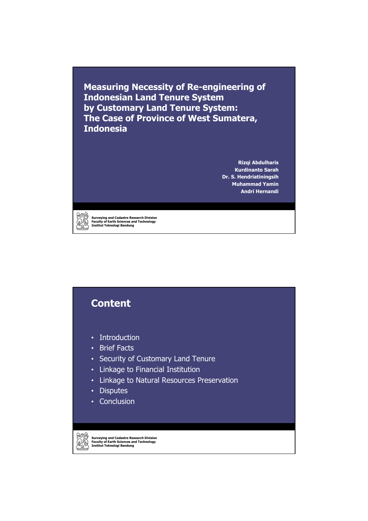**Measuring Necessity of Re-engineering of Indonesian Land Tenure System by Customary Land Tenure System: The Case of Province of West Sumatera, Indonesia**

> **Rizqi Abdulharis Kurdinanto Sarah Dr. S. Hendriatiningsih Muhammad Yamin Andri Hernandi**



**Surveying and Cadastre Research Division Faculty of Earth Sciences and Technology Institut Teknologi Bandung**

### **Content** • Introduction • Brief Facts • Security of Customary Land Tenure • Linkage to Financial Institution • Linkage to Natural Resources Preservation • Disputes • Conclusion

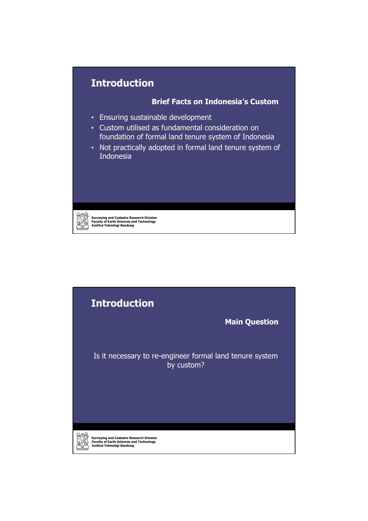### **Introduction**

#### **Brief Facts on Indonesia's Custom**

- Ensuring sustainable development
- Custom utilised as fundamental consideration on foundation of formal land tenure system of Indonesia
- Not practically adopted in formal land tenure system of Indonesia

79

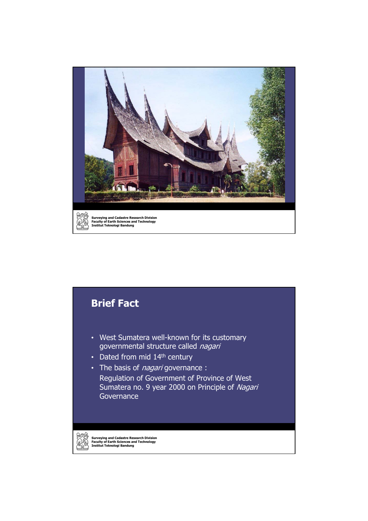

# **Surveying and Cadastre Research Division Faculty of Earth Sciences and Technology Institut Teknologi Bandung Brief Fact** • West Sumatera well-known for its customary governmental structure called nagari • Dated from mid 14<sup>th</sup> century • The basis of *nagari* governance : Regulation of Government of Province of West Sumatera no. 9 year 2000 on Principle of Nagari Governance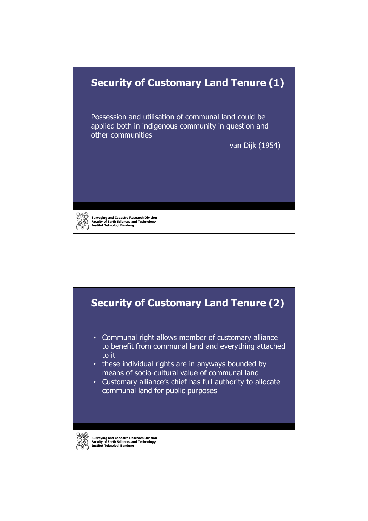#### **Security of Customary Land Tenure (1)**

Possession and utilisation of communal land could be applied both in indigenous community in question and other communities

van Dijk (1954)

**Surveying and Cadastre Research Division Faculty of Earth Sciences and Technology Institut Teknologi Bandung**

**Security of Customary Land Tenure (2)**

- Communal right allows member of customary alliance to benefit from communal land and everything attached to it
- these individual rights are in anyways bounded by means of socio-cultural value of communal land
- Customary alliance's chief has full authority to allocate communal land for public purposes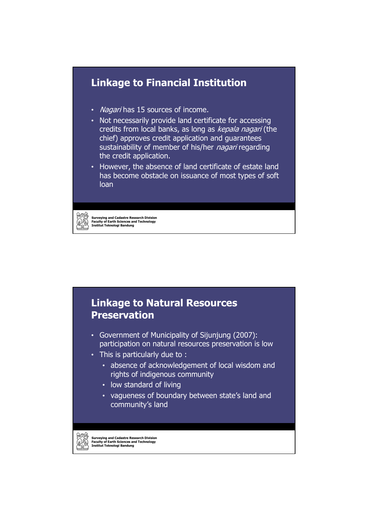

#### **Linkage to Natural Resources Preservation**

- Government of Municipality of Sijunjung (2007): participation on natural resources preservation is low
- This is particularly due to :
	- absence of acknowledgement of local wisdom and rights of indigenous community
	- low standard of living
	- vagueness of boundary between state's land and community's land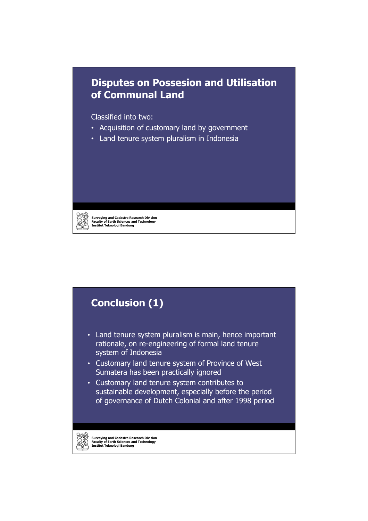#### **Disputes on Possesion and Utilisation of Communal Land**

Classified into two:

**Surveying and Cadastre Research Division Faculty of Earth Sciences and Technology Institut Teknologi Bandung**

- Acquisition of customary land by government
- Land tenure system pluralism in Indonesia

### **Conclusion (1)** • Land tenure system pluralism is main, hence important rationale, on re-engineering of formal land tenure system of Indonesia • Customary land tenure system of Province of West Sumatera has been practically ignored • Customary land tenure system contributes to sustainable development, especially before the period of governance of Dutch Colonial and after 1998 period

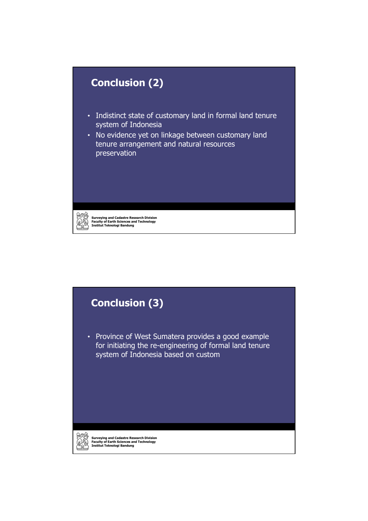

# **Conclusion (3)**

• Province of West Sumatera provides a good example for initiating the re-engineering of formal land tenure system of Indonesia based on custom